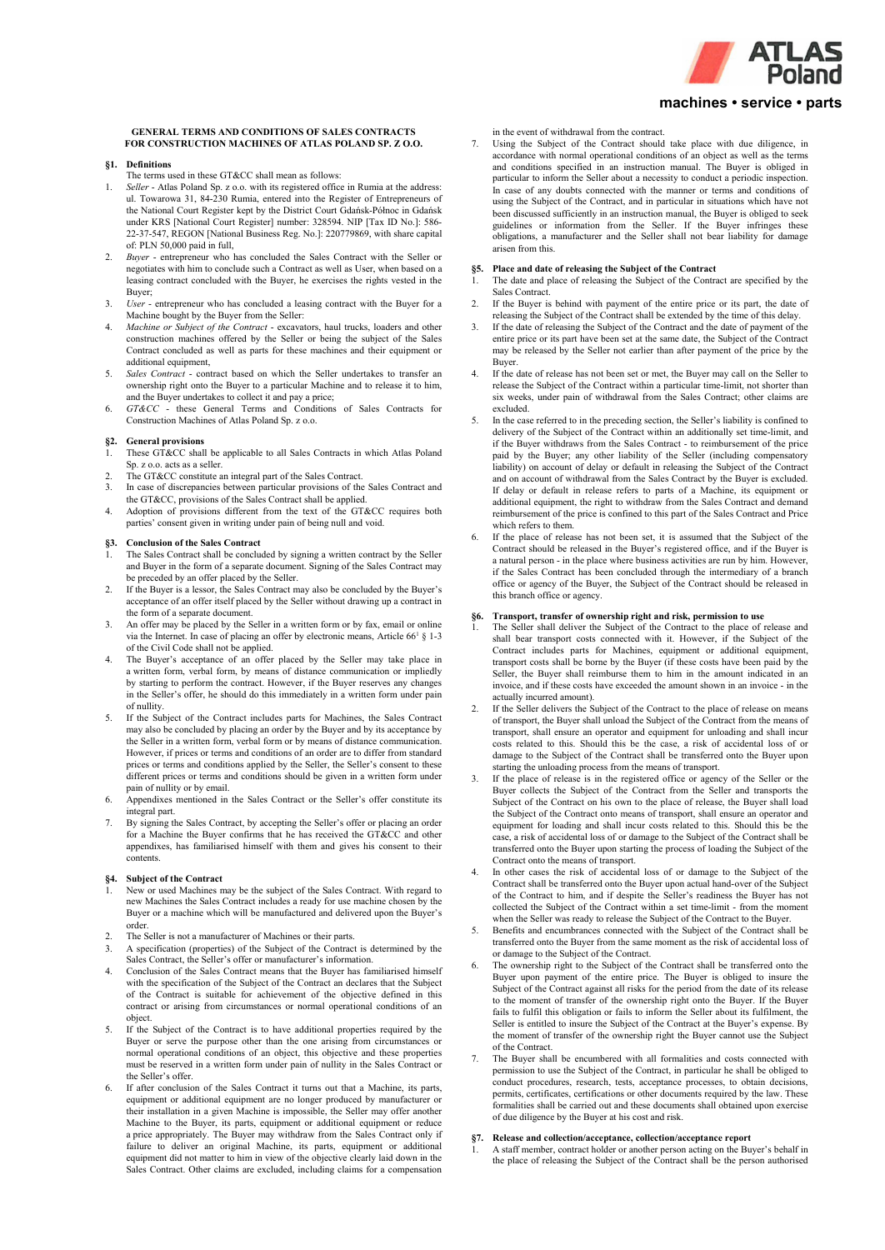

# **machines • service • parts**

### **GENERAL TERMS AND CONDITIONS OF SALES CONTRACTS FOR CONSTRUCTION MACHINES OF ATLAS POLAND SP. Z O.O.**

#### **§1. Definitions**

- The terms used in these GT&CC shall mean as follows:
- 1. *Seller* Atlas Poland Sp. z o.o. with its registered office in Rumia at the address: ul. Towarowa 31, 84-230 Rumia, entered into the Register of Entrepreneurs of the National Court Register kept by the District Court Gdańsk-Północ in Gdańsk under KRS [National Court Register] number: 328594. NIP [Tax ID No.]: 586- 22-37-547, REGON [National Business Reg. No.]: 220779869, with share capital of: PLN 50,000 paid in full,
- 2. *Buyer* entrepreneur who has concluded the Sales Contract with the Seller or negotiates with him to conclude such a Contract as well as User, when based on a leasing contract concluded with the Buyer, he exercises the rights vested in the Buyer;
- 3. *User*  entrepreneur who has concluded a leasing contract with the Buyer for a Machine bought by the Buyer from the Seller:
- 4. *Machine or Subject of the Contract*  excavators, haul trucks, loaders and other construction machines offered by the Seller or being the subject of the Sales Contract concluded as well as parts for these machines and their equipment or additional equipment,
- 5. *Sales Contract*  contract based on which the Seller undertakes to transfer an ownership right onto the Buyer to a particular Machine and to release it to him,
- and the Buyer undertakes to collect it and pay a price; 6. *GT&CC*  these General Terms and Conditions of Sales Contracts for Construction Machines of Atlas Poland Sp. z o.o.

### **§2. General provisions**

- 1. These GT&CC shall be applicable to all Sales Contracts in which Atlas Poland Sp. z o.o. acts as a seller.
- The GT&CC constitute an integral part of the Sales Contract.
- In case of discrepancies between particular provisions of the Sales Contract and the GT&CC, provisions of the Sales Contract shall be applied.
- 4. Adoption of provisions different from the text of the GT&CC requires both parties' consent given in writing under pain of being null and void.

#### **§3. Conclusion of the Sales Contract**

- The Sales Contract shall be concluded by signing a written contract by the Seller and Buyer in the form of a separate document. Signing of the Sales Contract may be preceded by an offer placed by the Seller.
- 2. If the Buyer is a lessor, the Sales Contract may also be concluded by the Buyer's acceptance of an offer itself placed by the Seller without drawing up a contract in the form of a separate document.
- 3. An offer may be placed by the Seller in a written form or by fax, email or online via the Internet. In case of placing an offer by electronic means, Article  $66<sup>1</sup>$  § 1-3 of the Civil Code shall not be applied.
- 4. The Buyer's acceptance of an offer placed by the Seller may take place in a written form, verbal form, by means of distance communication or impliedly by starting to perform the contract. However, if the Buyer reserves any changes in the Seller's offer, he should do this immediately in a written form under pain of nullity.
- 5. If the Subject of the Contract includes parts for Machines, the Sales Contract may also be concluded by placing an order by the Buyer and by its acceptance by the Seller in a written form, verbal form or by means of distance communication. However, if prices or terms and conditions of an order are to differ from standard prices or terms and conditions applied by the Seller, the Seller's consent to these different prices or terms and conditions should be given in a written form under pain of nullity or by email.
- 6. Appendixes mentioned in the Sales Contract or the Seller's offer constitute its integral part.
- 7. By signing the Sales Contract, by accepting the Seller's offer or placing an order for a Machine the Buyer confirms that he has received the GT&CC and other appendixes, has familiarised himself with them and gives his consent to their contents.

#### **§4. Subject of the Contract**

- New or used Machines may be the subject of the Sales Contract. With regard to new Machines the Sales Contract includes a ready for use machine chosen by the Buyer or a machine which will be manufactured and delivered upon the Buyer's order.
- 2. The Seller is not a manufacturer of Machines or their parts.
- 3. A specification (properties) of the Subject of the Contract is determined by the Sales Contract, the Seller's offer or manufacturer's information.
- 4. Conclusion of the Sales Contract means that the Buyer has familiarised himself with the specification of the Subject of the Contract an declares that the Subject of the Contract is suitable for achievement of the objective defined in this contract or arising from circumstances or normal operational conditions of an object.
- If the Subject of the Contract is to have additional properties required by the Buyer or serve the purpose other than the one arising from circumstances or normal operational conditions of an object, this objective and these properties must be reserved in a written form under pain of nullity in the Sales Contract or the Seller's offer.
- If after conclusion of the Sales Contract it turns out that a Machine, its parts, equipment or additional equipment are no longer produced by manufacturer or their installation in a given Machine is impossible, the Seller may offer another Machine to the Buyer, its parts, equipment or additional equipment or reduce a price appropriately. The Buyer may withdraw from the Sales Contract only if failure to deliver an original Machine, its parts, equipment or additional equipment did not matter to him in view of the objective clearly laid down in the Sales Contract. Other claims are excluded, including claims for a compensation

in the event of withdrawal from the contract.

7. Using the Subject of the Contract should take place with due diligence, in accordance with normal operational conditions of an object as well as the terms and conditions specified in an instruction manual. The Buyer is obliged in particular to inform the Seller about a necessity to conduct a periodic inspection. In case of any doubts connected with the manner or terms and conditions of using the Subject of the Contract, and in particular in situations which have not been discussed sufficiently in an instruction manual, the Buyer is obliged to seek guidelines or information from the Seller. If the Buyer infringes these obligations, a manufacturer and the Seller shall not bear liability for damage arisen from this.

## **§5. Place and date of releasing the Subject of the Contract**

- The date and place of releasing the Subject of the Contract are specified by the Sales Contract.
- If the Buyer is behind with payment of the entire price or its part, the date of releasing the Subject of the Contract shall be extended by the time of this delay.
- 3. If the date of releasing the Subject of the Contract and the date of payment of the entire price or its part have been set at the same date, the Subject of the Contract may be released by the Seller not earlier than after payment of the price by the Buyer.
- If the date of release has not been set or met, the Buyer may call on the Seller to release the Subject of the Contract within a particular time-limit, not shorter than six weeks, under pain of withdrawal from the Sales Contract; other claims are excluded.
- 5. In the case referred to in the preceding section, the Seller's liability is confined to delivery of the Subject of the Contract within an additionally set time-limit, and if the Buyer withdraws from the Sales Contract - to reimbursement of the price paid by the Buyer; any other liability of the Seller (including compensatory liability) on account of delay or default in releasing the Subject of the Contract and on account of withdrawal from the Sales Contract by the Buyer is excluded. If delay or default in release refers to parts of a Machine, its equipment or additional equipment, the right to withdraw from the Sales Contract and demand reimbursement of the price is confined to this part of the Sales Contract and Price which refers to them.
- If the place of release has not been set, it is assumed that the Subject of the Contract should be released in the Buyer's registered office, and if the Buyer is a natural person - in the place where business activities are run by him. However, if the Sales Contract has been concluded through the intermediary of a branch office or agency of the Buyer, the Subject of the Contract should be released in this branch office or agency.

## **§6. Transport, transfer of ownership right and risk, permission to use**

- The Seller shall deliver the Subject of the Contract to the place of release and shall bear transport costs connected with it. However, if the Subject of the Contract includes parts for Machines, equipment or additional equipment, transport costs shall be borne by the Buyer (if these costs have been paid by the Seller, the Buyer shall reimburse them to him in the amount indicated in an invoice, and if these costs have exceeded the amount shown in an invoice - in the actually incurred amount).
- 2. If the Seller delivers the Subject of the Contract to the place of release on means of transport, the Buyer shall unload the Subject of the Contract from the means of transport, shall ensure an operator and equipment for unloading and shall incur costs related to this. Should this be the case, a risk of accidental loss of or damage to the Subject of the Contract shall be transferred onto the Buyer upon starting the unloading process from the means of transport.
- If the place of release is in the registered office or agency of the Seller or the Buyer collects the Subject of the Contract from the Seller and transports the Subject of the Contract on his own to the place of release, the Buyer shall load the Subject of the Contract onto means of transport, shall ensure an operator and equipment for loading and shall incur costs related to this. Should this be the case, a risk of accidental loss of or damage to the Subject of the Contract shall be transferred onto the Buyer upon starting the process of loading the Subject of the Contract onto the means of transport.
- 4. In other cases the risk of accidental loss of or damage to the Subject of the Contract shall be transferred onto the Buyer upon actual hand-over of the Subject of the Contract to him, and if despite the Seller's readiness the Buyer has not collected the Subject of the Contract within a set time-limit - from the moment when the Seller was ready to release the Subject of the Contract to the Buyer.
- 5. Benefits and encumbrances connected with the Subject of the Contract shall be transferred onto the Buyer from the same moment as the risk of accidental loss of or damage to the Subject of the Contract.
- The ownership right to the Subject of the Contract shall be transferred onto the Buyer upon payment of the entire price. The Buyer is obliged to insure the Subject of the Contract against all risks for the period from the date of its release to the moment of transfer of the ownership right onto the Buyer. If the Buyer fails to fulfil this obligation or fails to inform the Seller about its fulfilment, the Seller is entitled to insure the Subject of the Contract at the Buyer's expense. By the moment of transfer of the ownership right the Buyer cannot use the Subject of the Contract.
- The Buyer shall be encumbered with all formalities and costs connected with permission to use the Subject of the Contract, in particular he shall be obliged to conduct procedures, research, tests, acceptance processes, to obtain decisions, permits, certificates, certifications or other documents required by the law. These formalities shall be carried out and these documents shall obtained upon exercise of due diligence by the Buyer at his cost and risk.

# **§7. Release and collection/acceptance, collection/acceptance report**

1. A staff member, contract holder or another person acting on the Buyer's behalf in the place of releasing the Subject of the Contract shall be the person authorised